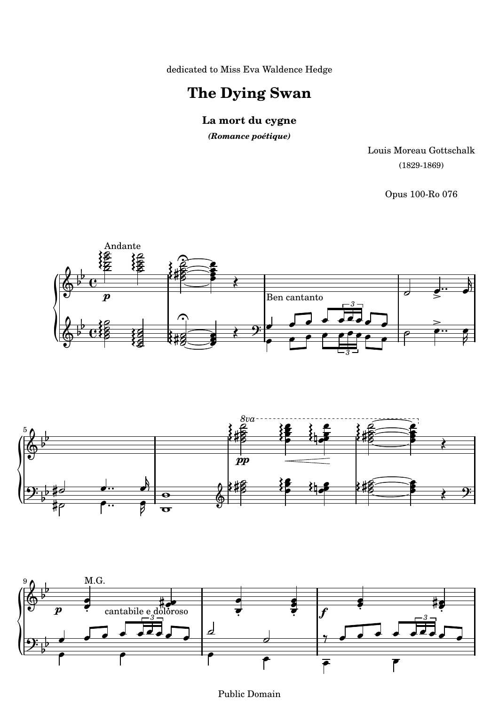dedicated to Miss Eva Waldence Hedge

## **The Dying Swan**

## **La mort du cygne**

*(Romance poétique)*

(1829-1869) Louis Moreau Gottschalk

Opus 100-Ro 076







## Public Domain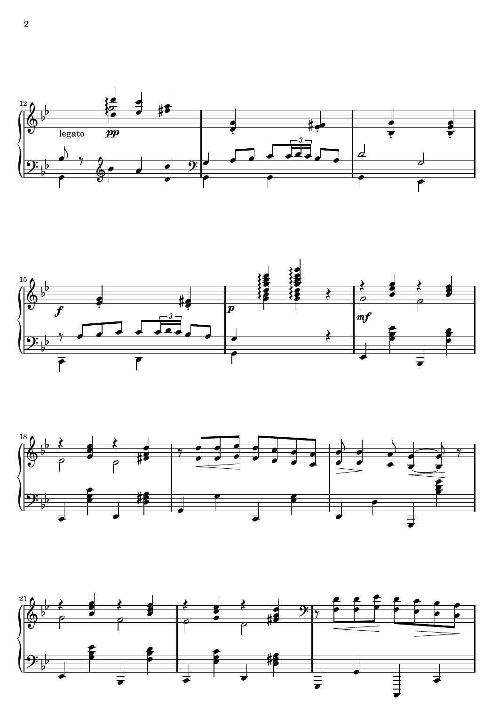





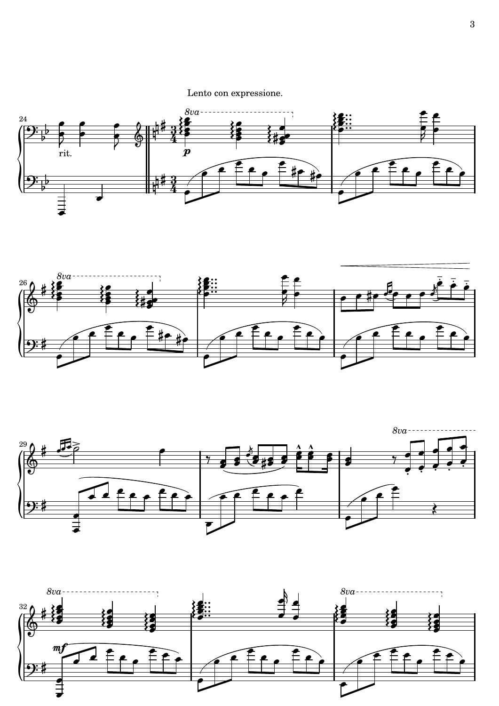Lento con expressione.







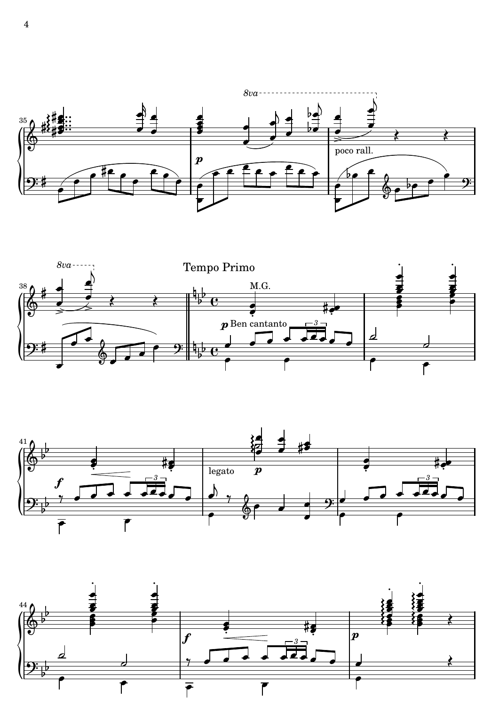





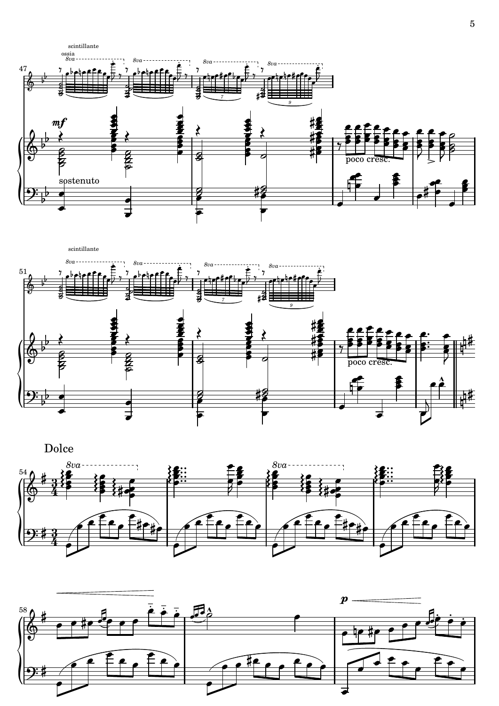